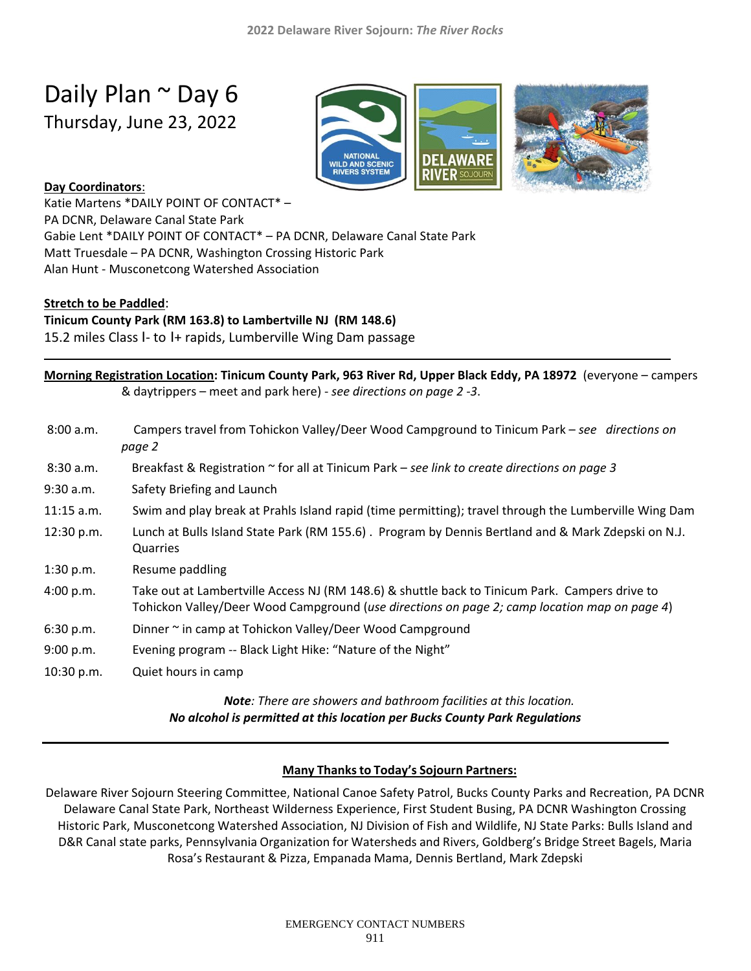# Daily Plan ~ Day 6

Thursday, June 23, 2022



### **Day Coordinators**:

Katie Martens \*DAILY POINT OF CONTACT\* – PA DCNR, Delaware Canal State Park Gabie Lent \*DAILY POINT OF CONTACT\* – PA DCNR, Delaware Canal State Park Matt Truesdale – PA DCNR, Washington Crossing Historic Park Alan Hunt - Musconetcong Watershed Association

#### **Stretch to be Paddled**:

#### **Tinicum County Park (RM 163.8) to Lambertville NJ (RM 148.6)**

15.2 miles Class I- to I+ rapids, Lumberville Wing Dam passage

| Morning Registration Location: Tinicum County Park, 963 River Rd, Upper Black Eddy, PA 18972 (everyone – campers                                                                               |
|------------------------------------------------------------------------------------------------------------------------------------------------------------------------------------------------|
| & daytrippers – meet and park here) - see directions on page 2-3.                                                                                                                              |
| Campers travel from Tohickon Valley/Deer Wood Campground to Tinicum Park – see directions on<br>page 2                                                                                         |
| Breakfast & Registration $\sim$ for all at Tinicum Park – see link to create directions on page 3                                                                                              |
| Safety Briefing and Launch                                                                                                                                                                     |
| Swim and play break at Prahls Island rapid (time permitting); travel through the Lumberville Wing Dam                                                                                          |
| Lunch at Bulls Island State Park (RM 155.6). Program by Dennis Bertland and & Mark Zdepski on N.J.<br>Quarries                                                                                 |
| Resume paddling                                                                                                                                                                                |
| Take out at Lambertville Access NJ (RM 148.6) & shuttle back to Tinicum Park. Campers drive to<br>Tohickon Valley/Deer Wood Campground (use directions on page 2; camp location map on page 4) |
| Dinner ~ in camp at Tohickon Valley/Deer Wood Campground                                                                                                                                       |
| Evening program -- Black Light Hike: "Nature of the Night"                                                                                                                                     |
| Quiet hours in camp                                                                                                                                                                            |
|                                                                                                                                                                                                |

#### *Note: There are showers and bathroom facilities at this location. No alcohol is permitted at this location per Bucks County Park Regulations*

#### **Many Thanksto Today's Sojourn Partners:**

Delaware River Sojourn Steering Committee, National Canoe Safety Patrol, Bucks County Parks and Recreation, PA DCNR Delaware Canal State Park, Northeast Wilderness Experience, First Student Busing, PA DCNR Washington Crossing Historic Park, Musconetcong Watershed Association, NJ Division of Fish and Wildlife, NJ State Parks: Bulls Island and D&R Canal state parks, Pennsylvania Organization for Watersheds and Rivers, Goldberg's Bridge Street Bagels, Maria Rosa's Restaurant & Pizza, Empanada Mama, Dennis Bertland, Mark Zdepski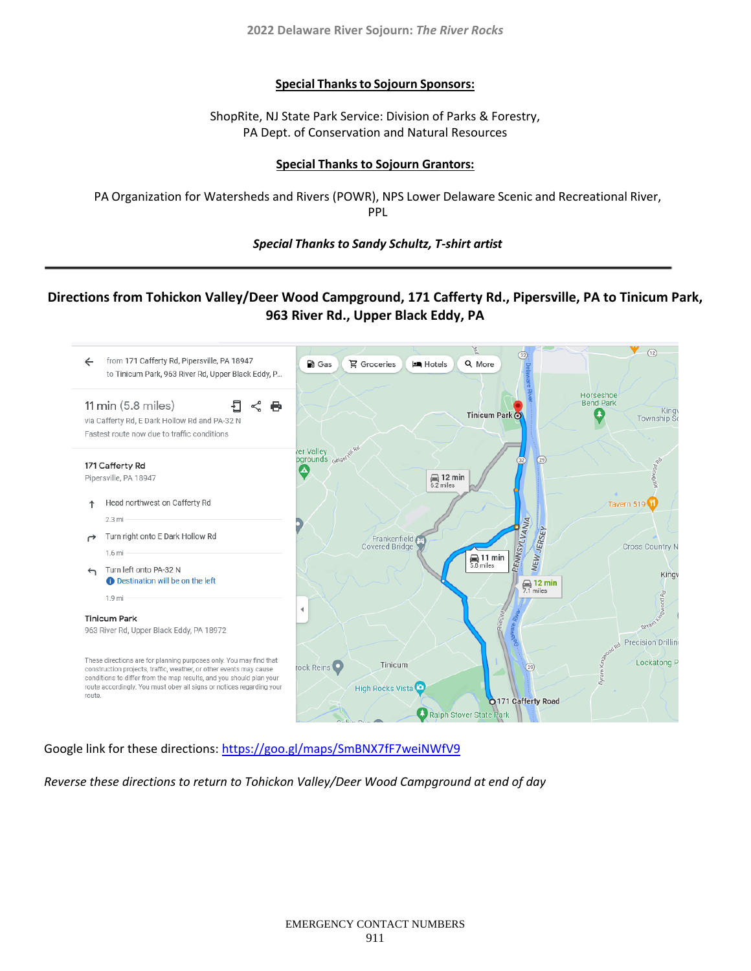**2022 Delaware River Sojourn:** *The River Rocks*

#### **Special Thanksto Sojourn Sponsors:**

ShopRite, NJ State Park Service: Division of Parks & Forestry, PA Dept. of Conservation and Natural Resources

#### **Special Thanks to Sojourn Grantors:**

PA Organization for Watersheds and Rivers (POWR), NPS Lower Delaware Scenic and Recreational River, PPL

*Special Thanks to Sandy Schultz, T-shirt artist*

## **Directions from Tohickon Valley/Deer Wood Campground, 171 Cafferty Rd., Pipersville, PA to Tinicum Park, 963 River Rd., Upper Black Eddy, PA**



Google link for these directions:<https://goo.gl/maps/SmBNX7fF7weiNWfV9>

*Reverse these directions to return to Tohickon Valley/Deer Wood Campground at end of day*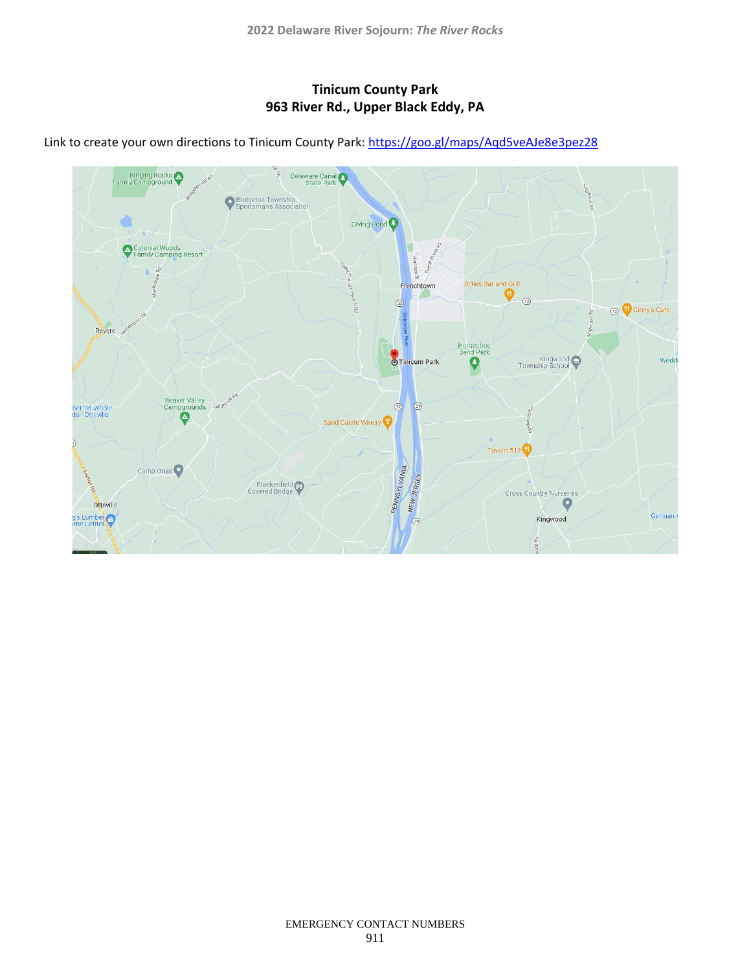## **Tinicum County Park 963 River Rd., Upper Black Eddy, PA**



Link to create your own directions to Tinicum County Park:<https://goo.gl/maps/Aqd5veAJe8e3pez28>